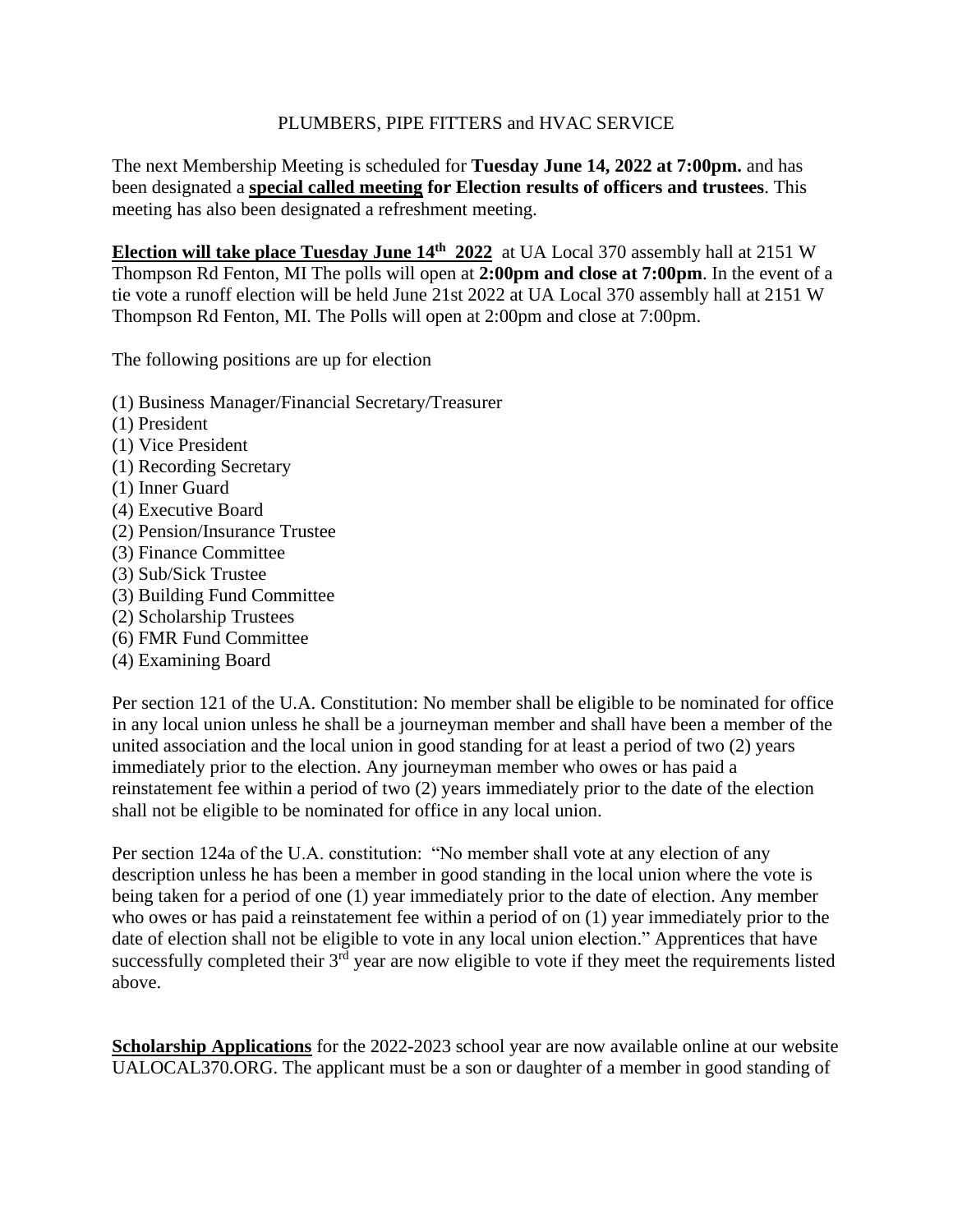## PLUMBERS, PIPE FITTERS and HVAC SERVICE

The next Membership Meeting is scheduled for **Tuesday June 14, 2022 at 7:00pm.** and has been designated a **special called meeting for Election results of officers and trustees**. This meeting has also been designated a refreshment meeting.

**Election will take place Tuesday June 14th 2022** at UA Local 370 assembly hall at 2151 W Thompson Rd Fenton, MI The polls will open at **2:00pm and close at 7:00pm**. In the event of a tie vote a runoff election will be held June 21st 2022 at UA Local 370 assembly hall at 2151 W Thompson Rd Fenton, MI. The Polls will open at 2:00pm and close at 7:00pm.

The following positions are up for election

- (1) Business Manager/Financial Secretary/Treasurer
- (1) President
- (1) Vice President
- (1) Recording Secretary
- (1) Inner Guard
- (4) Executive Board
- (2) Pension/Insurance Trustee
- (3) Finance Committee
- (3) Sub/Sick Trustee
- (3) Building Fund Committee
- (2) Scholarship Trustees
- (6) FMR Fund Committee
- (4) Examining Board

Per section 121 of the U.A. Constitution: No member shall be eligible to be nominated for office in any local union unless he shall be a journeyman member and shall have been a member of the united association and the local union in good standing for at least a period of two (2) years immediately prior to the election. Any journeyman member who owes or has paid a reinstatement fee within a period of two (2) years immediately prior to the date of the election shall not be eligible to be nominated for office in any local union.

Per section 124a of the U.A. constitution: "No member shall vote at any election of any description unless he has been a member in good standing in the local union where the vote is being taken for a period of one (1) year immediately prior to the date of election. Any member who owes or has paid a reinstatement fee within a period of on (1) year immediately prior to the date of election shall not be eligible to vote in any local union election." Apprentices that have successfully completed their  $3<sup>rd</sup>$  year are now eligible to vote if they meet the requirements listed above.

**Scholarship Applications** for the 2022-2023 school year are now available online at our website UALOCAL370.ORG. The applicant must be a son or daughter of a member in good standing of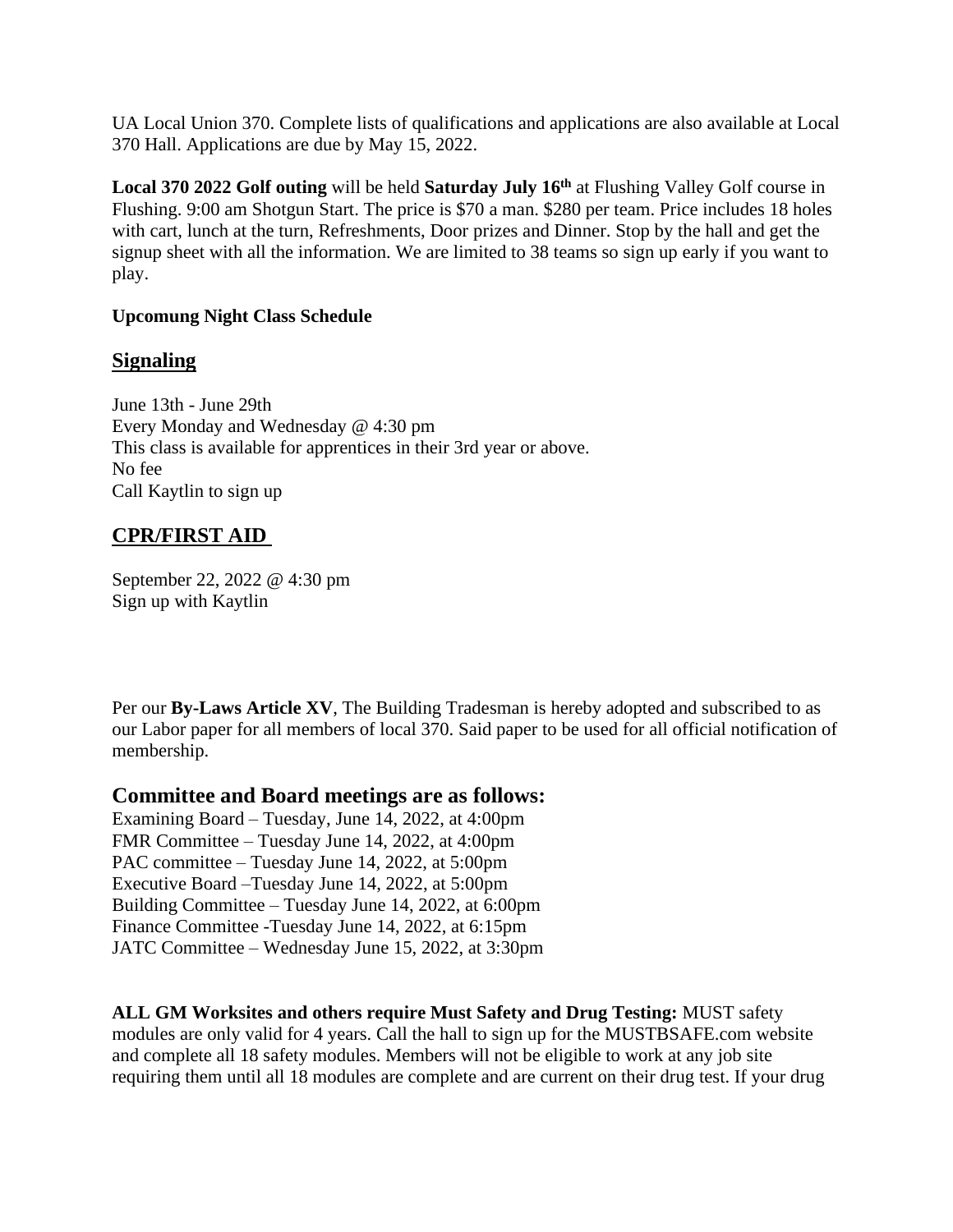UA Local Union 370. Complete lists of qualifications and applications are also available at Local 370 Hall. Applications are due by May 15, 2022.

**Local 370 2022 Golf outing** will be held **Saturday July 16 th** at Flushing Valley Golf course in Flushing. 9:00 am Shotgun Start. The price is \$70 a man. \$280 per team. Price includes 18 holes with cart, lunch at the turn, Refreshments, Door prizes and Dinner. Stop by the hall and get the signup sheet with all the information. We are limited to 38 teams so sign up early if you want to play.

## **Upcomung Night Class Schedule**

# **Signaling**

June 13th - June 29th Every Monday and Wednesday @ 4:30 pm This class is available for apprentices in their 3rd year or above. No fee Call Kaytlin to sign up

# **CPR/FIRST AID**

September 22, 2022 @ 4:30 pm Sign up with Kaytlin

Per our **By-Laws Article XV**, The Building Tradesman is hereby adopted and subscribed to as our Labor paper for all members of local 370. Said paper to be used for all official notification of membership.

## **Committee and Board meetings are as follows:**

Examining Board – Tuesday, June 14, 2022, at 4:00pm FMR Committee – Tuesday June 14, 2022, at 4:00pm PAC committee – Tuesday June 14, 2022, at 5:00pm Executive Board –Tuesday June 14, 2022, at 5:00pm Building Committee – Tuesday June 14, 2022, at 6:00pm Finance Committee -Tuesday June 14, 2022, at 6:15pm JATC Committee – Wednesday June 15, 2022, at 3:30pm

**ALL GM Worksites and others require Must Safety and Drug Testing:** MUST safety modules are only valid for 4 years. Call the hall to sign up for the MUSTBSAFE.com website and complete all 18 safety modules. Members will not be eligible to work at any job site requiring them until all 18 modules are complete and are current on their drug test. If your drug